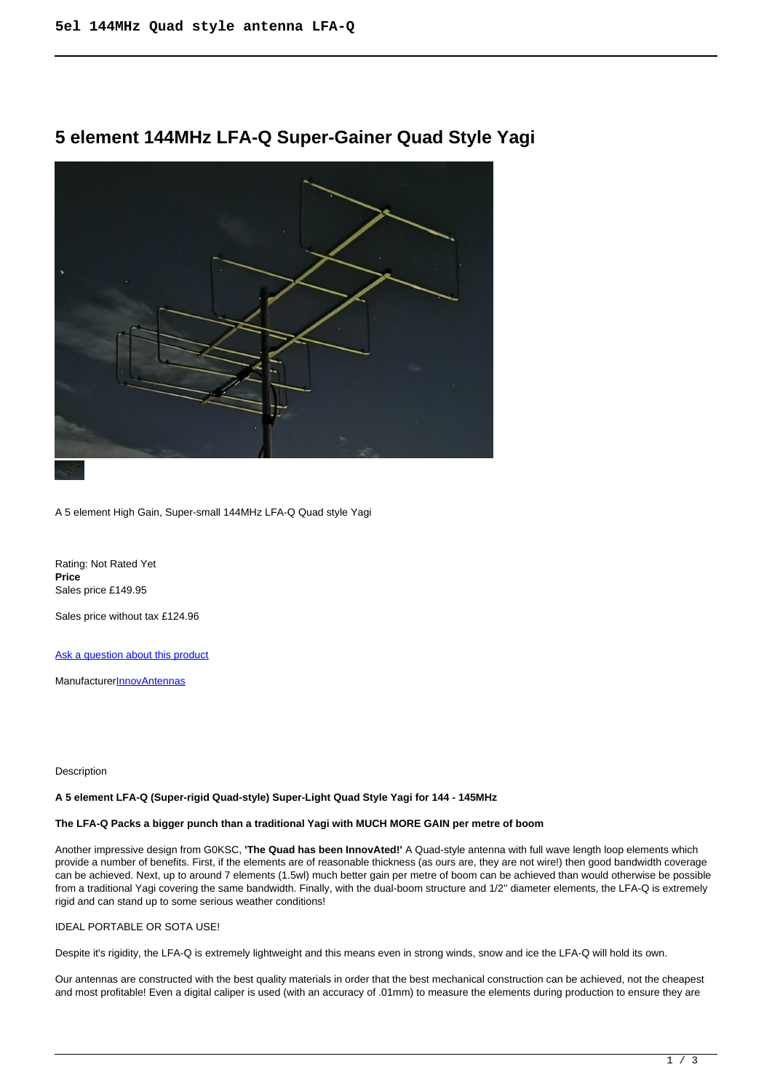# **5 element 144MHz LFA-Q Super-Gainer Quad Style Yagi**



A 5 element High Gain, Super-small 144MHz LFA-Q Quad style Yagi

Rating: Not Rated Yet **Price**  Sales price £149.95

Sales price without tax £124.96

[Ask a question about this product](https://innovantennas.com/index.php?option=com_virtuemart&view=productdetails&task=askquestion&virtuemart_product_id=373&virtuemart_category_id=1&tmpl=component)

Manufacturer**[InnovAntennas](https://innovantennas.com/index.php?option=com_virtuemart&view=manufacturer&virtuemart_manufacturer_id=1&tmpl=component)** 

Description

## **A 5 element LFA-Q (Super-rigid Quad-style) Super-Light Quad Style Yagi for 144 - 145MHz**

#### **The LFA-Q Packs a bigger punch than a traditional Yagi with MUCH MORE GAIN per metre of boom**

Another impressive design from G0KSC, **'The Quad has been InnovAted!'** A Quad-style antenna with full wave length loop elements which provide a number of benefits. First, if the elements are of reasonable thickness (as ours are, they are not wire!) then good bandwidth coverage can be achieved. Next, up to around 7 elements (1.5wl) much better gain per metre of boom can be achieved than would otherwise be possible from a traditional Yagi covering the same bandwidth. Finally, with the dual-boom structure and 1/2'' diameter elements, the LFA-Q is extremely rigid and can stand up to some serious weather conditions!

IDEAL PORTABLE OR SOTA USE!

Despite it's rigidity, the LFA-Q is extremely lightweight and this means even in strong winds, snow and ice the LFA-Q will hold its own.

Our antennas are constructed with the best quality materials in order that the best mechanical construction can be achieved, not the cheapest and most profitable! Even a digital caliper is used (with an accuracy of .01mm) to measure the elements during production to ensure they are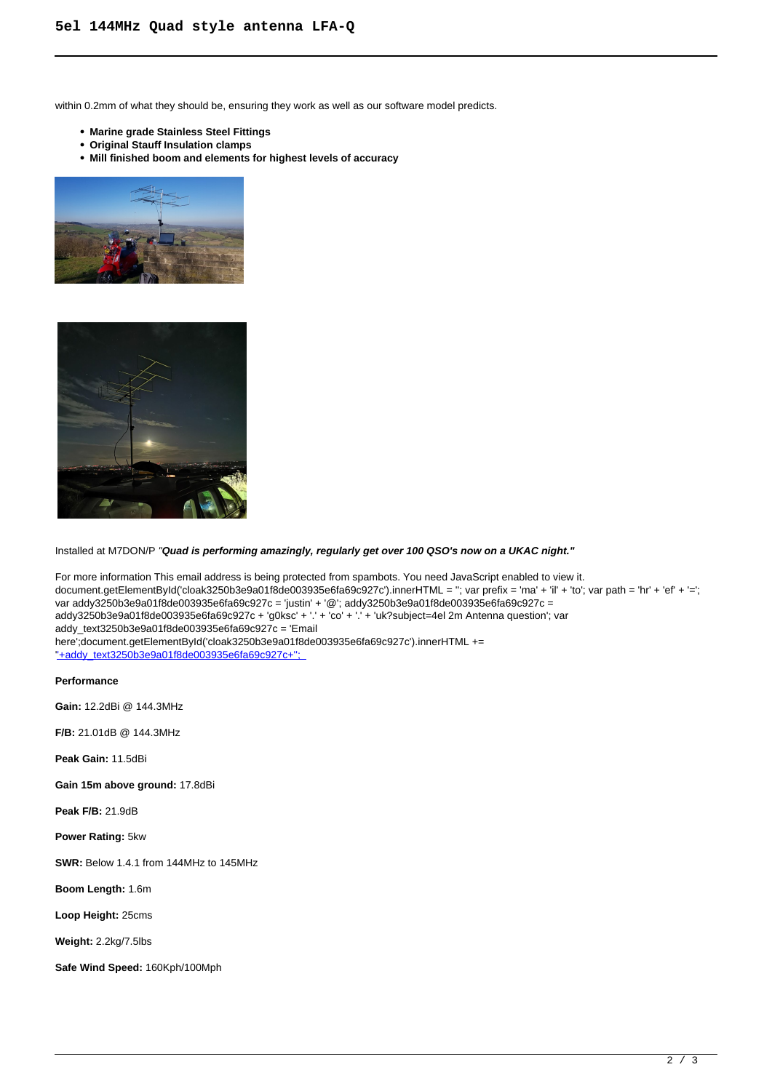within 0.2mm of what they should be, ensuring they work as well as our software model predicts.

- **Marine grade Stainless Steel Fittings**
- **Original Stauff Insulation clamps**
- **Mill finished boom and elements for highest levels of accuracy**





Installed at M7DON/P "**Quad is performing amazingly, regularly get over 100 QSO's now on a UKAC night."**

For more information This email address is being protected from spambots. You need JavaScript enabled to view it. document.getElementById('cloak3250b3e9a01f8de003935e6fa69c927c').innerHTML = "; var prefix = 'ma' + 'il' + 'to'; var path = 'hr' + 'ef' + '='; var addy3250b3e9a01f8de003935e6fa69c927c = 'justin' + '@'; addy3250b3e9a01f8de003935e6fa69c927c = addy3250b3e9a01f8de003935e6fa69c927c + 'g0ksc' + '.' + 'co' + '.' + 'uk?subject=4el 2m Antenna question'; var addy\_text3250b3e9a01f8de003935e6fa69c927c = 'Email here';document.getElementById('cloak3250b3e9a01f8de003935e6fa69c927c').innerHTML += ''+addy\_text3250b3e9a01f8de003935e6fa69c927c+'';

**Performance**

**Gain:** 12.2dBi @ 144.3MHz

**F/B:** 21.01dB @ 144.3MHz

**Peak Gain:** 11.5dBi

**Gain 15m above ground:** 17.8dBi

**Peak F/B:** 21.9dB

**Power Rating:** 5kw

**SWR:** Below 1.4.1 from 144MHz to 145MHz

**Boom Length:** 1.6m

**Loop Height:** 25cms

**Weight:** 2.2kg/7.5lbs

**Safe Wind Speed:** 160Kph/100Mph